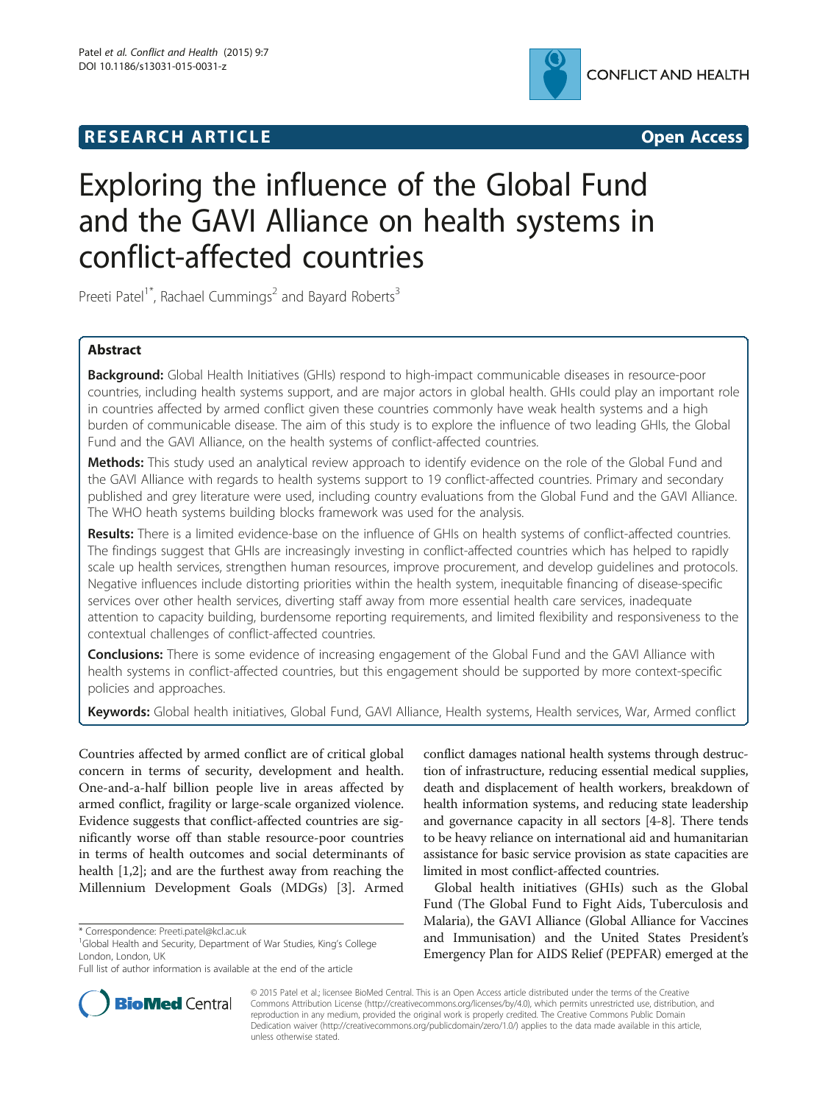# **RESEARCH ARTICLE Example 2014 12:30 The SEAR CHA RTICLE**



# Exploring the influence of the Global Fund and the GAVI Alliance on health systems in conflict-affected countries

Preeti Patel<sup>1\*</sup>, Rachael Cummings<sup>2</sup> and Bayard Roberts<sup>3</sup>

# Abstract

Background: Global Health Initiatives (GHIs) respond to high-impact communicable diseases in resource-poor countries, including health systems support, and are major actors in global health. GHIs could play an important role in countries affected by armed conflict given these countries commonly have weak health systems and a high burden of communicable disease. The aim of this study is to explore the influence of two leading GHIs, the Global Fund and the GAVI Alliance, on the health systems of conflict-affected countries.

Methods: This study used an analytical review approach to identify evidence on the role of the Global Fund and the GAVI Alliance with regards to health systems support to 19 conflict-affected countries. Primary and secondary published and grey literature were used, including country evaluations from the Global Fund and the GAVI Alliance. The WHO heath systems building blocks framework was used for the analysis.

Results: There is a limited evidence-base on the influence of GHIs on health systems of conflict-affected countries. The findings suggest that GHIs are increasingly investing in conflict-affected countries which has helped to rapidly scale up health services, strengthen human resources, improve procurement, and develop guidelines and protocols. Negative influences include distorting priorities within the health system, inequitable financing of disease-specific services over other health services, diverting staff away from more essential health care services, inadequate attention to capacity building, burdensome reporting requirements, and limited flexibility and responsiveness to the contextual challenges of conflict-affected countries.

**Conclusions:** There is some evidence of increasing engagement of the Global Fund and the GAVI Alliance with health systems in conflict-affected countries, but this engagement should be supported by more context-specific policies and approaches.

Keywords: Global health initiatives, Global Fund, GAVI Alliance, Health systems, Health services, War, Armed conflict

Countries affected by armed conflict are of critical global concern in terms of security, development and health. One-and-a-half billion people live in areas affected by armed conflict, fragility or large-scale organized violence. Evidence suggests that conflict-affected countries are significantly worse off than stable resource-poor countries in terms of health outcomes and social determinants of health [\[1,2](#page-7-0)]; and are the furthest away from reaching the Millennium Development Goals (MDGs) [\[3](#page-7-0)]. Armed

conflict damages national health systems through destruction of infrastructure, reducing essential medical supplies, death and displacement of health workers, breakdown of health information systems, and reducing state leadership and governance capacity in all sectors [\[4](#page-7-0)-[8\]](#page-7-0). There tends to be heavy reliance on international aid and humanitarian assistance for basic service provision as state capacities are limited in most conflict-affected countries.

Global health initiatives (GHIs) such as the Global Fund (The Global Fund to Fight Aids, Tuberculosis and Malaria), the GAVI Alliance (Global Alliance for Vaccines and Immunisation) and the United States President's Emergency Plan for AIDS Relief (PEPFAR) emerged at the



© 2015 Patel et al.; licensee BioMed Central. This is an Open Access article distributed under the terms of the Creative Commons Attribution License [\(http://creativecommons.org/licenses/by/4.0\)](http://creativecommons.org/licenses/by/4.0), which permits unrestricted use, distribution, and reproduction in any medium, provided the original work is properly credited. The Creative Commons Public Domain Dedication waiver [\(http://creativecommons.org/publicdomain/zero/1.0/](http://creativecommons.org/publicdomain/zero/1.0/)) applies to the data made available in this article, unless otherwise stated.

<sup>\*</sup> Correspondence: [Preeti.patel@kcl.ac.uk](mailto:Preeti.patel@kcl.ac.uk) <sup>1</sup>

<sup>&</sup>lt;sup>1</sup>Global Health and Security, Department of War Studies, King's College London, London, UK

Full list of author information is available at the end of the article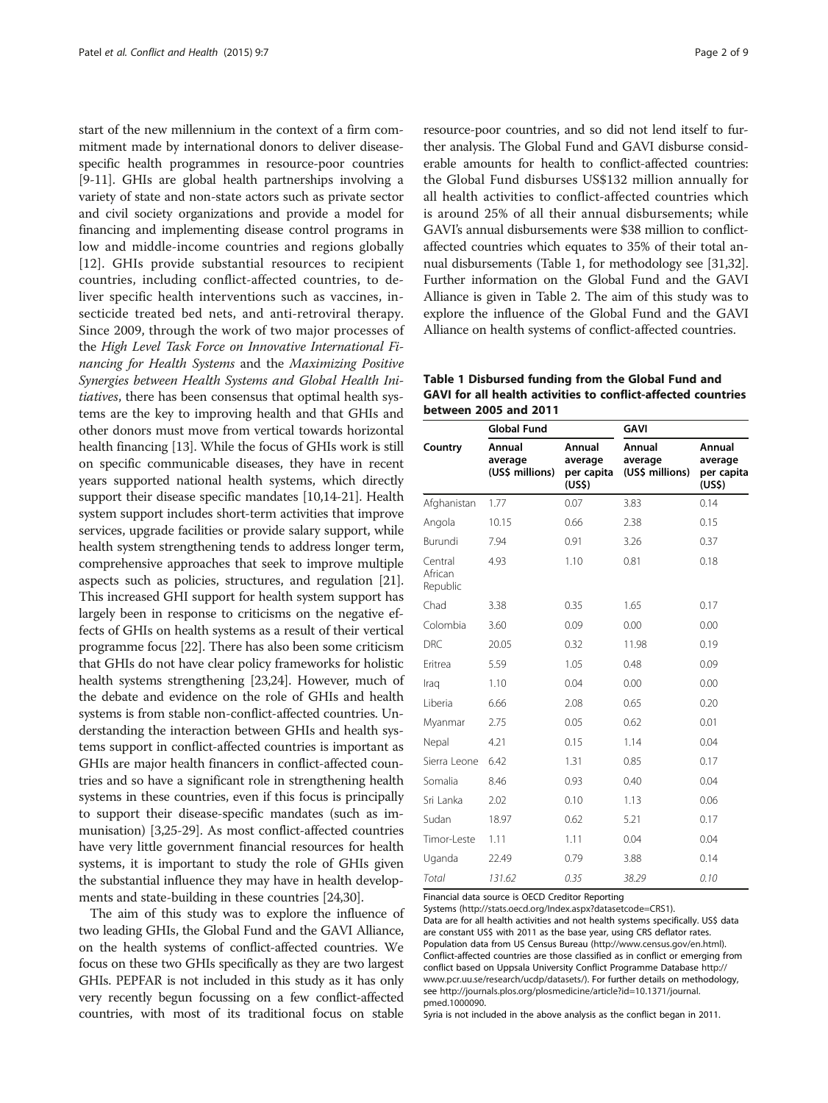start of the new millennium in the context of a firm commitment made by international donors to deliver diseasespecific health programmes in resource-poor countries [[9-11\]](#page-7-0). GHIs are global health partnerships involving a variety of state and non-state actors such as private sector and civil society organizations and provide a model for financing and implementing disease control programs in low and middle-income countries and regions globally [[12\]](#page-7-0). GHIs provide substantial resources to recipient countries, including conflict-affected countries, to deliver specific health interventions such as vaccines, insecticide treated bed nets, and anti-retroviral therapy. Since 2009, through the work of two major processes of the High Level Task Force on Innovative International Financing for Health Systems and the Maximizing Positive Synergies between Health Systems and Global Health Initiatives, there has been consensus that optimal health systems are the key to improving health and that GHIs and other donors must move from vertical towards horizontal health financing [[13](#page-7-0)]. While the focus of GHIs work is still on specific communicable diseases, they have in recent years supported national health systems, which directly support their disease specific mandates [[10](#page-7-0),[14](#page-7-0)-[21](#page-7-0)]. Health system support includes short-term activities that improve services, upgrade facilities or provide salary support, while health system strengthening tends to address longer term, comprehensive approaches that seek to improve multiple aspects such as policies, structures, and regulation [[21](#page-7-0)]. This increased GHI support for health system support has largely been in response to criticisms on the negative effects of GHIs on health systems as a result of their vertical programme focus [[22](#page-7-0)]. There has also been some criticism that GHIs do not have clear policy frameworks for holistic health systems strengthening [\[23,24](#page-7-0)]. However, much of the debate and evidence on the role of GHIs and health systems is from stable non-conflict-affected countries. Understanding the interaction between GHIs and health systems support in conflict-affected countries is important as GHIs are major health financers in conflict-affected countries and so have a significant role in strengthening health systems in these countries, even if this focus is principally to support their disease-specific mandates (such as immunisation) [\[3,25-29\]](#page-7-0). As most conflict-affected countries have very little government financial resources for health systems, it is important to study the role of GHIs given the substantial influence they may have in health developments and state-building in these countries [\[24,30\]](#page-7-0).

The aim of this study was to explore the influence of two leading GHIs, the Global Fund and the GAVI Alliance, on the health systems of conflict-affected countries. We focus on these two GHIs specifically as they are two largest GHIs. PEPFAR is not included in this study as it has only very recently begun focussing on a few conflict-affected countries, with most of its traditional focus on stable

resource-poor countries, and so did not lend itself to further analysis. The Global Fund and GAVI disburse considerable amounts for health to conflict-affected countries: the Global Fund disburses US\$132 million annually for all health activities to conflict-affected countries which is around 25% of all their annual disbursements; while GAVI's annual disbursements were \$38 million to conflictaffected countries which equates to 35% of their total annual disbursements (Table 1, for methodology see [\[31,32](#page-7-0)]. Further information on the Global Fund and the GAVI Alliance is given in Table [2.](#page-2-0) The aim of this study was to explore the influence of the Global Fund and the GAVI Alliance on health systems of conflict-affected countries.

Table 1 Disbursed funding from the Global Fund and GAVI for all health activities to conflict-affected countries between 2005 and 2011

|                                | <b>Global Fund</b>                   |                                          | <b>GAVI</b>                          |                                          |
|--------------------------------|--------------------------------------|------------------------------------------|--------------------------------------|------------------------------------------|
| Country                        | Annual<br>average<br>(US\$ millions) | Annual<br>average<br>per capita<br>(USS) | Annual<br>average<br>(US\$ millions) | Annual<br>average<br>per capita<br>(USS) |
| Afghanistan                    | 1.77                                 | 0.07                                     | 3.83                                 | 0.14                                     |
| Angola                         | 10.15                                | 0.66                                     | 2.38                                 | 0.15                                     |
| Burundi                        | 7.94                                 | 0.91                                     | 3.26                                 | 0.37                                     |
| Central<br>African<br>Republic | 4.93                                 | 1.10                                     | 0.81                                 | 0.18                                     |
| Chad                           | 3.38                                 | 0.35                                     | 1.65                                 | 0.17                                     |
| Colombia                       | 3.60                                 | 0.09                                     | 0.00                                 | 0.00                                     |
| <b>DRC</b>                     | 20.05                                | 0.32                                     | 11.98                                | 0.19                                     |
| Eritrea                        | 5.59                                 | 1.05                                     | 0.48                                 | 0.09                                     |
| Iraq                           | 1.10                                 | 0.04                                     | 0.00                                 | 0.00                                     |
| Liberia                        | 6.66                                 | 2.08                                     | 0.65                                 | 0.20                                     |
| Myanmar                        | 2.75                                 | 0.05                                     | 0.62                                 | 0.01                                     |
| Nepal                          | 4.21                                 | 0.15                                     | 1.14                                 | 0.04                                     |
| Sierra Leone                   | 6.42                                 | 1.31                                     | 0.85                                 | 0.17                                     |
| Somalia                        | 8.46                                 | 0.93                                     | 0.40                                 | 0.04                                     |
| Sri Lanka                      | 2.02                                 | 0.10                                     | 1.13                                 | 0.06                                     |
| Sudan                          | 18.97                                | 0.62                                     | 5.21                                 | 0.17                                     |
| Timor-Leste                    | 1.11                                 | 1.11                                     | 0.04                                 | 0.04                                     |
| Uganda                         | 22.49                                | 0.79                                     | 3.88                                 | 0.14                                     |
| Total                          | 131.62                               | 0.35                                     | 38.29                                | 0.10                                     |

Financial data source is OECD Creditor Reporting

Systems (<http://stats.oecd.org/Index.aspx?datasetcode=CRS1>).

Data are for all health activities and not health systems specifically. US\$ data are constant US\$ with 2011 as the base year, using CRS deflator rates. Population data from US Census Bureau [\(http://www.census.gov/en.html](http://www.census.gov/en.html)). Conflict-affected countries are those classified as in conflict or emerging from conflict based on Uppsala University Conflict Programme Database [http://](http://www.pcr.uu.se/research/ucdp/datasets/) [www.pcr.uu.se/research/ucdp/datasets/\)](http://www.pcr.uu.se/research/ucdp/datasets/). For further details on methodology, see [http://journals.plos.org/plosmedicine/article?id=10.1371/journal.](http://journals.plos.org/plosmedicine/article?id=10.1371/journal.pmed.1000090) [pmed.1000090](http://journals.plos.org/plosmedicine/article?id=10.1371/journal.pmed.1000090).

Syria is not included in the above analysis as the conflict began in 2011.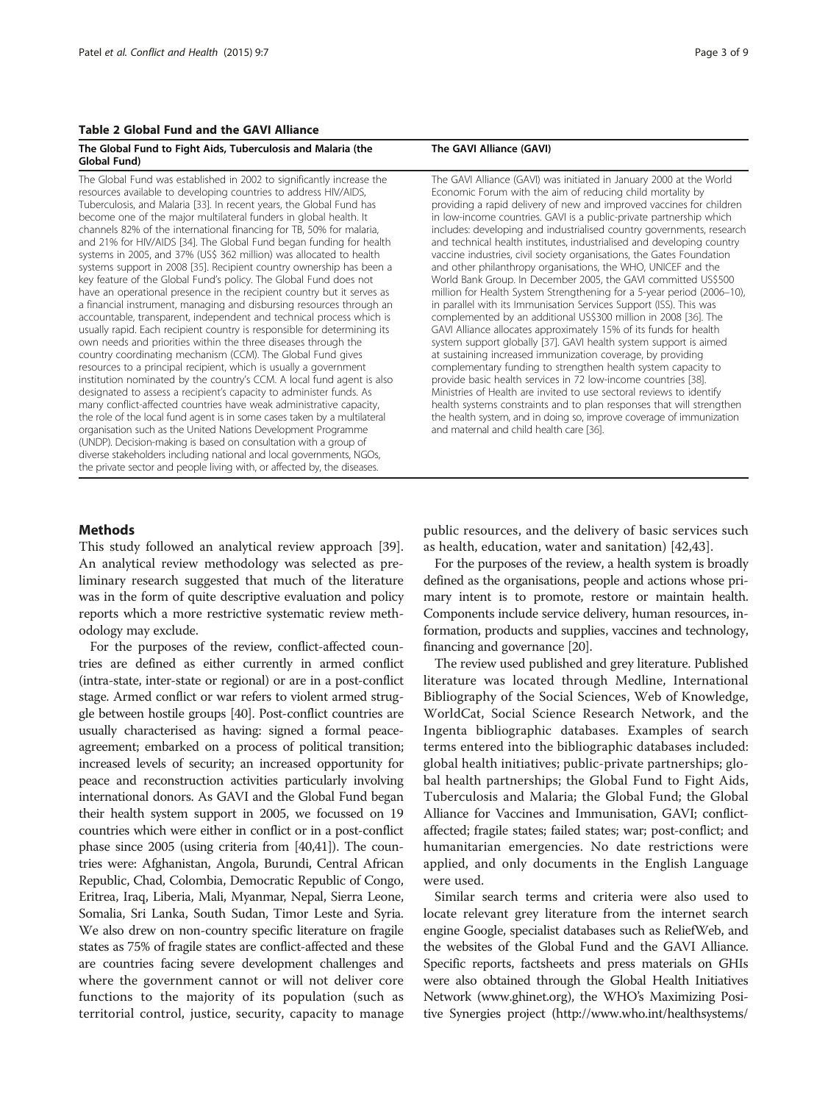#### <span id="page-2-0"></span>Table 2 Global Fund and the GAVI Alliance

#### The Global Fund to Fight Aids, Tuberculosis and Malaria (the Global Fund)

The Global Fund was established in 2002 to significantly increase the resources available to developing countries to address HIV/AIDS, Tuberculosis, and Malaria [\[33\]](#page-7-0). In recent years, the Global Fund has become one of the major multilateral funders in global health. It channels 82% of the international financing for TB, 50% for malaria, and 21% for HIV/AIDS [\[34\]](#page-7-0). The Global Fund began funding for health systems in 2005, and 37% (US\$ 362 million) was allocated to health systems support in 2008 [\[35\]](#page-7-0). Recipient country ownership has been a key feature of the Global Fund's policy. The Global Fund does not have an operational presence in the recipient country but it serves as a financial instrument, managing and disbursing resources through an accountable, transparent, independent and technical process which is usually rapid. Each recipient country is responsible for determining its own needs and priorities within the three diseases through the country coordinating mechanism (CCM). The Global Fund gives resources to a principal recipient, which is usually a government institution nominated by the country's CCM. A local fund agent is also designated to assess a recipient's capacity to administer funds. As many conflict-affected countries have weak administrative capacity, the role of the local fund agent is in some cases taken by a multilateral organisation such as the United Nations Development Programme (UNDP). Decision-making is based on consultation with a group of diverse stakeholders including national and local governments, NGOs, the private sector and people living with, or affected by, the diseases.

### Methods

This study followed an analytical review approach [\[39](#page-7-0)]. An analytical review methodology was selected as preliminary research suggested that much of the literature was in the form of quite descriptive evaluation and policy reports which a more restrictive systematic review methodology may exclude.

For the purposes of the review, conflict-affected countries are defined as either currently in armed conflict (intra-state, inter-state or regional) or are in a post-conflict stage. Armed conflict or war refers to violent armed struggle between hostile groups [[40](#page-7-0)]. Post-conflict countries are usually characterised as having: signed a formal peaceagreement; embarked on a process of political transition; increased levels of security; an increased opportunity for peace and reconstruction activities particularly involving international donors. As GAVI and the Global Fund began their health system support in 2005, we focussed on 19 countries which were either in conflict or in a post-conflict phase since 2005 (using criteria from [[40,41\]](#page-7-0)). The countries were: Afghanistan, Angola, Burundi, Central African Republic, Chad, Colombia, Democratic Republic of Congo, Eritrea, Iraq, Liberia, Mali, Myanmar, Nepal, Sierra Leone, Somalia, Sri Lanka, South Sudan, Timor Leste and Syria. We also drew on non-country specific literature on fragile states as 75% of fragile states are conflict-affected and these are countries facing severe development challenges and where the government cannot or will not deliver core functions to the majority of its population (such as territorial control, justice, security, capacity to manage

## The GAVI Alliance (GAVI)

The GAVI Alliance (GAVI) was initiated in January 2000 at the World Economic Forum with the aim of reducing child mortality by providing a rapid delivery of new and improved vaccines for children in low-income countries. GAVI is a public-private partnership which includes: developing and industrialised country governments, research and technical health institutes, industrialised and developing country vaccine industries, civil society organisations, the Gates Foundation and other philanthropy organisations, the WHO, UNICEF and the World Bank Group. In December 2005, the GAVI committed US\$500 million for Health System Strengthening for a 5-year period (2006–10), in parallel with its Immunisation Services Support (ISS). This was complemented by an additional US\$300 million in 2008 [[36\]](#page-7-0). The GAVI Alliance allocates approximately 15% of its funds for health system support globally [\[37](#page-7-0)]. GAVI health system support is aimed at sustaining increased immunization coverage, by providing complementary funding to strengthen health system capacity to provide basic health services in 72 low-income countries [\[38\]](#page-7-0). Ministries of Health are invited to use sectoral reviews to identify health systems constraints and to plan responses that will strengthen the health system, and in doing so, improve coverage of immunization and maternal and child health care [[36](#page-7-0)].

public resources, and the delivery of basic services such as health, education, water and sanitation) [[42,43\]](#page-7-0).

For the purposes of the review, a health system is broadly defined as the organisations, people and actions whose primary intent is to promote, restore or maintain health. Components include service delivery, human resources, information, products and supplies, vaccines and technology, financing and governance [[20](#page-7-0)].

The review used published and grey literature. Published literature was located through Medline, International Bibliography of the Social Sciences, Web of Knowledge, WorldCat, Social Science Research Network, and the Ingenta bibliographic databases. Examples of search terms entered into the bibliographic databases included: global health initiatives; public-private partnerships; global health partnerships; the Global Fund to Fight Aids, Tuberculosis and Malaria; the Global Fund; the Global Alliance for Vaccines and Immunisation, GAVI; conflictaffected; fragile states; failed states; war; post-conflict; and humanitarian emergencies. No date restrictions were applied, and only documents in the English Language were used.

Similar search terms and criteria were also used to locate relevant grey literature from the internet search engine Google, specialist databases such as ReliefWeb, and the websites of the Global Fund and the GAVI Alliance. Specific reports, factsheets and press materials on GHIs were also obtained through the Global Health Initiatives Network [\(www.ghinet.org](http://www.ghinet.org)), the WHO's Maximizing Positive Synergies project [\(http://www.who.int/healthsystems/](http://www.who.int/healthsystems/GHIsynergies/en/)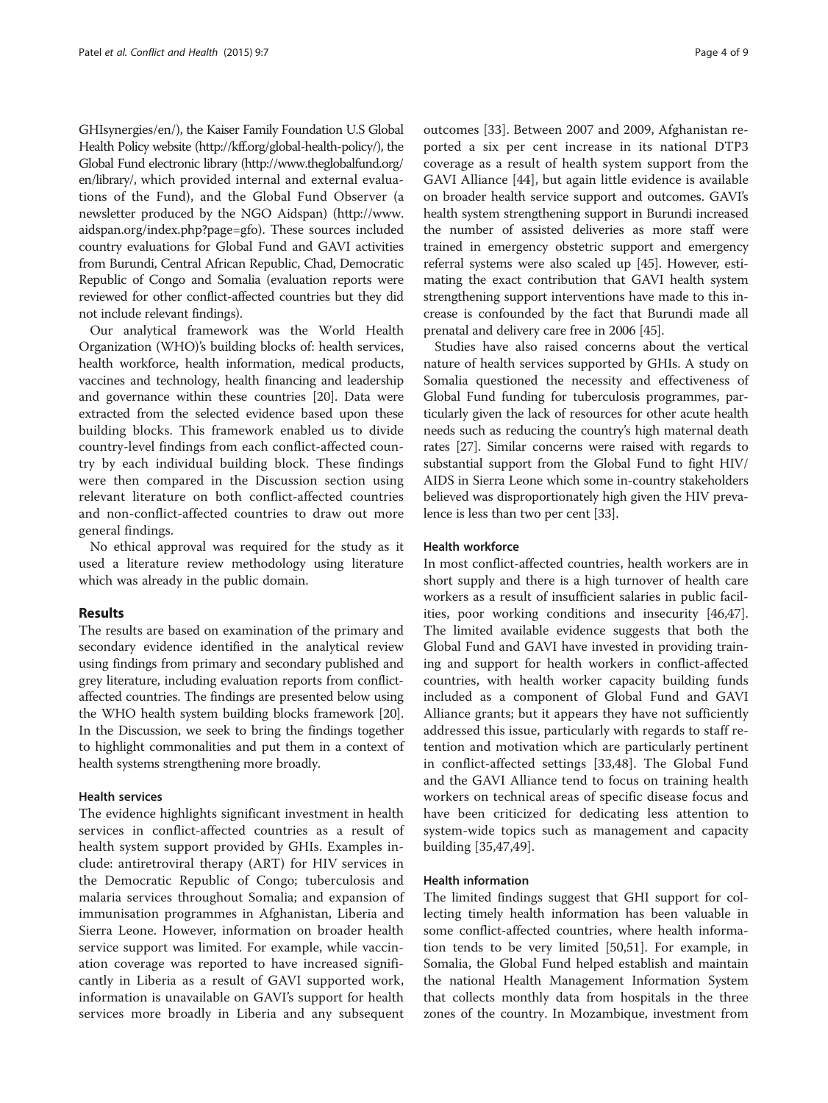[GHIsynergies/en/](http://www.who.int/healthsystems/GHIsynergies/en/)), the Kaiser Family Foundation U.S Global Health Policy website [\(http://kff.org/global-health-policy/](http://kff.org/global-health-policy/)), the Global Fund electronic library [\(http://www.theglobalfund.org/](http://www.theglobalfund.org/en/library/) [en/library/](http://www.theglobalfund.org/en/library/), which provided internal and external evaluations of the Fund), and the Global Fund Observer (a newsletter produced by the NGO Aidspan) ([http://www.](http://www.aidspan.org/index.php?page=gfo) [aidspan.org/index.php?page=gfo](http://www.aidspan.org/index.php?page=gfo)). These sources included country evaluations for Global Fund and GAVI activities from Burundi, Central African Republic, Chad, Democratic Republic of Congo and Somalia (evaluation reports were reviewed for other conflict-affected countries but they did not include relevant findings).

Our analytical framework was the World Health Organization (WHO)'s building blocks of: health services, health workforce, health information, medical products, vaccines and technology, health financing and leadership and governance within these countries [\[20\]](#page-7-0). Data were extracted from the selected evidence based upon these building blocks. This framework enabled us to divide country-level findings from each conflict-affected country by each individual building block. These findings were then compared in the Discussion section using relevant literature on both conflict-affected countries and non-conflict-affected countries to draw out more general findings.

No ethical approval was required for the study as it used a literature review methodology using literature which was already in the public domain.

#### Results

The results are based on examination of the primary and secondary evidence identified in the analytical review using findings from primary and secondary published and grey literature, including evaluation reports from conflictaffected countries. The findings are presented below using the WHO health system building blocks framework [[20](#page-7-0)]. In the Discussion, we seek to bring the findings together to highlight commonalities and put them in a context of health systems strengthening more broadly.

#### Health services

The evidence highlights significant investment in health services in conflict-affected countries as a result of health system support provided by GHIs. Examples include: antiretroviral therapy (ART) for HIV services in the Democratic Republic of Congo; tuberculosis and malaria services throughout Somalia; and expansion of immunisation programmes in Afghanistan, Liberia and Sierra Leone. However, information on broader health service support was limited. For example, while vaccination coverage was reported to have increased significantly in Liberia as a result of GAVI supported work, information is unavailable on GAVI's support for health services more broadly in Liberia and any subsequent

outcomes [[33](#page-7-0)]. Between 2007 and 2009, Afghanistan reported a six per cent increase in its national DTP3 coverage as a result of health system support from the GAVI Alliance [[44\]](#page-7-0), but again little evidence is available on broader health service support and outcomes. GAVI's health system strengthening support in Burundi increased the number of assisted deliveries as more staff were trained in emergency obstetric support and emergency referral systems were also scaled up [\[45\]](#page-7-0). However, estimating the exact contribution that GAVI health system strengthening support interventions have made to this increase is confounded by the fact that Burundi made all prenatal and delivery care free in 2006 [\[45\]](#page-7-0).

Studies have also raised concerns about the vertical nature of health services supported by GHIs. A study on Somalia questioned the necessity and effectiveness of Global Fund funding for tuberculosis programmes, particularly given the lack of resources for other acute health needs such as reducing the country's high maternal death rates [\[27\]](#page-7-0). Similar concerns were raised with regards to substantial support from the Global Fund to fight HIV/ AIDS in Sierra Leone which some in-country stakeholders believed was disproportionately high given the HIV prevalence is less than two per cent [\[33\]](#page-7-0).

#### Health workforce

In most conflict-affected countries, health workers are in short supply and there is a high turnover of health care workers as a result of insufficient salaries in public facilities, poor working conditions and insecurity [\[46,47](#page-7-0)]. The limited available evidence suggests that both the Global Fund and GAVI have invested in providing training and support for health workers in conflict-affected countries, with health worker capacity building funds included as a component of Global Fund and GAVI Alliance grants; but it appears they have not sufficiently addressed this issue, particularly with regards to staff retention and motivation which are particularly pertinent in conflict-affected settings [\[33](#page-7-0),[48\]](#page-7-0). The Global Fund and the GAVI Alliance tend to focus on training health workers on technical areas of specific disease focus and have been criticized for dedicating less attention to system-wide topics such as management and capacity building [[35,47,49](#page-7-0)].

#### Health information

The limited findings suggest that GHI support for collecting timely health information has been valuable in some conflict-affected countries, where health information tends to be very limited [[50,51\]](#page-7-0). For example, in Somalia, the Global Fund helped establish and maintain the national Health Management Information System that collects monthly data from hospitals in the three zones of the country. In Mozambique, investment from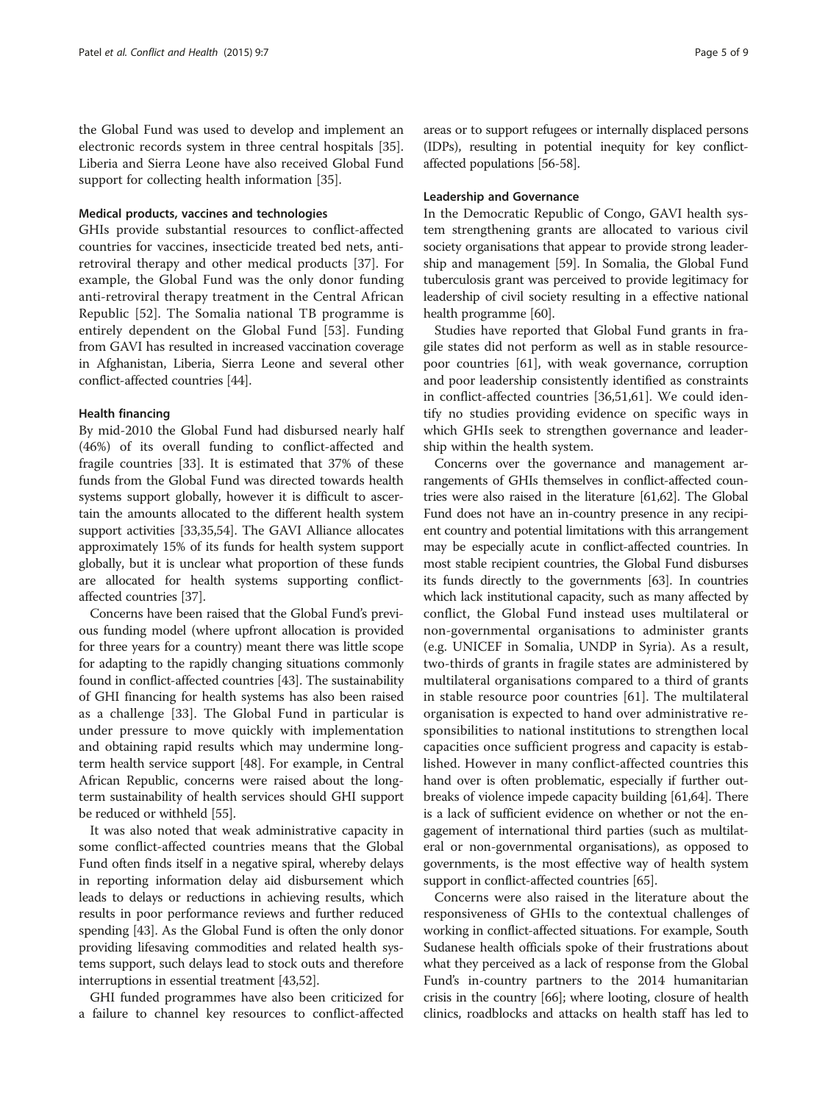the Global Fund was used to develop and implement an electronic records system in three central hospitals [\[35](#page-7-0)]. Liberia and Sierra Leone have also received Global Fund support for collecting health information [[35\]](#page-7-0).

#### Medical products, vaccines and technologies

GHIs provide substantial resources to conflict-affected countries for vaccines, insecticide treated bed nets, antiretroviral therapy and other medical products [\[37](#page-7-0)]. For example, the Global Fund was the only donor funding anti-retroviral therapy treatment in the Central African Republic [\[52](#page-7-0)]. The Somalia national TB programme is entirely dependent on the Global Fund [[53](#page-8-0)]. Funding from GAVI has resulted in increased vaccination coverage in Afghanistan, Liberia, Sierra Leone and several other conflict-affected countries [\[44\]](#page-7-0).

#### Health financing

By mid-2010 the Global Fund had disbursed nearly half (46%) of its overall funding to conflict-affected and fragile countries [[33](#page-7-0)]. It is estimated that 37% of these funds from the Global Fund was directed towards health systems support globally, however it is difficult to ascertain the amounts allocated to the different health system support activities [\[33,35,](#page-7-0)[54](#page-8-0)]. The GAVI Alliance allocates approximately 15% of its funds for health system support globally, but it is unclear what proportion of these funds are allocated for health systems supporting conflictaffected countries [\[37\]](#page-7-0).

Concerns have been raised that the Global Fund's previous funding model (where upfront allocation is provided for three years for a country) meant there was little scope for adapting to the rapidly changing situations commonly found in conflict-affected countries [[43](#page-7-0)]. The sustainability of GHI financing for health systems has also been raised as a challenge [\[33](#page-7-0)]. The Global Fund in particular is under pressure to move quickly with implementation and obtaining rapid results which may undermine longterm health service support [\[48](#page-7-0)]. For example, in Central African Republic, concerns were raised about the longterm sustainability of health services should GHI support be reduced or withheld [\[55\]](#page-8-0).

It was also noted that weak administrative capacity in some conflict-affected countries means that the Global Fund often finds itself in a negative spiral, whereby delays in reporting information delay aid disbursement which leads to delays or reductions in achieving results, which results in poor performance reviews and further reduced spending [[43](#page-7-0)]. As the Global Fund is often the only donor providing lifesaving commodities and related health systems support, such delays lead to stock outs and therefore interruptions in essential treatment [\[43,52\]](#page-7-0).

GHI funded programmes have also been criticized for a failure to channel key resources to conflict-affected

areas or to support refugees or internally displaced persons (IDPs), resulting in potential inequity for key conflictaffected populations [[56](#page-8-0)-[58](#page-8-0)].

#### Leadership and Governance

In the Democratic Republic of Congo, GAVI health system strengthening grants are allocated to various civil society organisations that appear to provide strong leadership and management [\[59\]](#page-8-0). In Somalia, the Global Fund tuberculosis grant was perceived to provide legitimacy for leadership of civil society resulting in a effective national health programme [\[60](#page-8-0)].

Studies have reported that Global Fund grants in fragile states did not perform as well as in stable resourcepoor countries [\[61\]](#page-8-0), with weak governance, corruption and poor leadership consistently identified as constraints in conflict-affected countries [\[36,51](#page-7-0)[,61](#page-8-0)]. We could identify no studies providing evidence on specific ways in which GHIs seek to strengthen governance and leadership within the health system.

Concerns over the governance and management arrangements of GHIs themselves in conflict-affected countries were also raised in the literature [\[61,62](#page-8-0)]. The Global Fund does not have an in-country presence in any recipient country and potential limitations with this arrangement may be especially acute in conflict-affected countries. In most stable recipient countries, the Global Fund disburses its funds directly to the governments [\[63\]](#page-8-0). In countries which lack institutional capacity, such as many affected by conflict, the Global Fund instead uses multilateral or non-governmental organisations to administer grants (e.g. UNICEF in Somalia, UNDP in Syria). As a result, two-thirds of grants in fragile states are administered by multilateral organisations compared to a third of grants in stable resource poor countries [[61\]](#page-8-0). The multilateral organisation is expected to hand over administrative responsibilities to national institutions to strengthen local capacities once sufficient progress and capacity is established. However in many conflict-affected countries this hand over is often problematic, especially if further outbreaks of violence impede capacity building [\[61,64\]](#page-8-0). There is a lack of sufficient evidence on whether or not the engagement of international third parties (such as multilateral or non-governmental organisations), as opposed to governments, is the most effective way of health system support in conflict-affected countries [\[65\]](#page-8-0).

Concerns were also raised in the literature about the responsiveness of GHIs to the contextual challenges of working in conflict-affected situations. For example, South Sudanese health officials spoke of their frustrations about what they perceived as a lack of response from the Global Fund's in-country partners to the 2014 humanitarian crisis in the country [\[66\]](#page-8-0); where looting, closure of health clinics, roadblocks and attacks on health staff has led to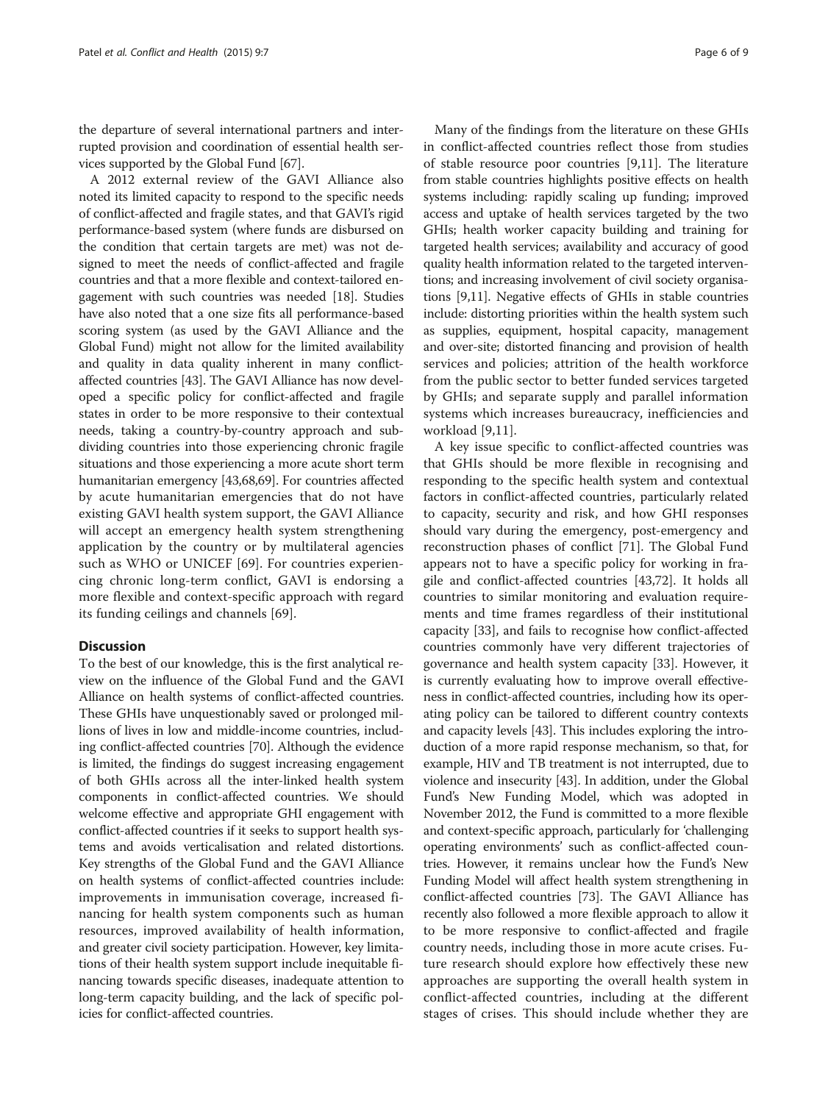the departure of several international partners and interrupted provision and coordination of essential health services supported by the Global Fund [\[67\]](#page-8-0).

A 2012 external review of the GAVI Alliance also noted its limited capacity to respond to the specific needs of conflict-affected and fragile states, and that GAVI's rigid performance-based system (where funds are disbursed on the condition that certain targets are met) was not designed to meet the needs of conflict-affected and fragile countries and that a more flexible and context-tailored engagement with such countries was needed [\[18\]](#page-7-0). Studies have also noted that a one size fits all performance-based scoring system (as used by the GAVI Alliance and the Global Fund) might not allow for the limited availability and quality in data quality inherent in many conflictaffected countries [\[43\]](#page-7-0). The GAVI Alliance has now developed a specific policy for conflict-affected and fragile states in order to be more responsive to their contextual needs, taking a country-by-country approach and subdividing countries into those experiencing chronic fragile situations and those experiencing a more acute short term humanitarian emergency [\[43,](#page-7-0)[68,69](#page-8-0)]. For countries affected by acute humanitarian emergencies that do not have existing GAVI health system support, the GAVI Alliance will accept an emergency health system strengthening application by the country or by multilateral agencies such as WHO or UNICEF [[69\]](#page-8-0). For countries experiencing chronic long-term conflict, GAVI is endorsing a more flexible and context-specific approach with regard its funding ceilings and channels [[69\]](#page-8-0).

#### **Discussion**

To the best of our knowledge, this is the first analytical review on the influence of the Global Fund and the GAVI Alliance on health systems of conflict-affected countries. These GHIs have unquestionably saved or prolonged millions of lives in low and middle-income countries, including conflict-affected countries [\[70\]](#page-8-0). Although the evidence is limited, the findings do suggest increasing engagement of both GHIs across all the inter-linked health system components in conflict-affected countries. We should welcome effective and appropriate GHI engagement with conflict-affected countries if it seeks to support health systems and avoids verticalisation and related distortions. Key strengths of the Global Fund and the GAVI Alliance on health systems of conflict-affected countries include: improvements in immunisation coverage, increased financing for health system components such as human resources, improved availability of health information, and greater civil society participation. However, key limitations of their health system support include inequitable financing towards specific diseases, inadequate attention to long-term capacity building, and the lack of specific policies for conflict-affected countries.

Many of the findings from the literature on these GHIs in conflict-affected countries reflect those from studies of stable resource poor countries [[9,11\]](#page-7-0). The literature from stable countries highlights positive effects on health systems including: rapidly scaling up funding; improved access and uptake of health services targeted by the two GHIs; health worker capacity building and training for targeted health services; availability and accuracy of good quality health information related to the targeted interventions; and increasing involvement of civil society organisations [\[9,11\]](#page-7-0). Negative effects of GHIs in stable countries include: distorting priorities within the health system such as supplies, equipment, hospital capacity, management and over-site; distorted financing and provision of health services and policies; attrition of the health workforce from the public sector to better funded services targeted by GHIs; and separate supply and parallel information systems which increases bureaucracy, inefficiencies and workload [\[9,11](#page-7-0)].

A key issue specific to conflict-affected countries was that GHIs should be more flexible in recognising and responding to the specific health system and contextual factors in conflict-affected countries, particularly related to capacity, security and risk, and how GHI responses should vary during the emergency, post-emergency and reconstruction phases of conflict [\[71\]](#page-8-0). The Global Fund appears not to have a specific policy for working in fragile and conflict-affected countries [\[43](#page-7-0)[,72](#page-8-0)]. It holds all countries to similar monitoring and evaluation requirements and time frames regardless of their institutional capacity [[33\]](#page-7-0), and fails to recognise how conflict-affected countries commonly have very different trajectories of governance and health system capacity [[33](#page-7-0)]. However, it is currently evaluating how to improve overall effectiveness in conflict-affected countries, including how its operating policy can be tailored to different country contexts and capacity levels [\[43\]](#page-7-0). This includes exploring the introduction of a more rapid response mechanism, so that, for example, HIV and TB treatment is not interrupted, due to violence and insecurity [[43](#page-7-0)]. In addition, under the Global Fund's New Funding Model, which was adopted in November 2012, the Fund is committed to a more flexible and context-specific approach, particularly for 'challenging operating environments' such as conflict-affected countries. However, it remains unclear how the Fund's New Funding Model will affect health system strengthening in conflict-affected countries [[73\]](#page-8-0). The GAVI Alliance has recently also followed a more flexible approach to allow it to be more responsive to conflict-affected and fragile country needs, including those in more acute crises. Future research should explore how effectively these new approaches are supporting the overall health system in conflict-affected countries, including at the different stages of crises. This should include whether they are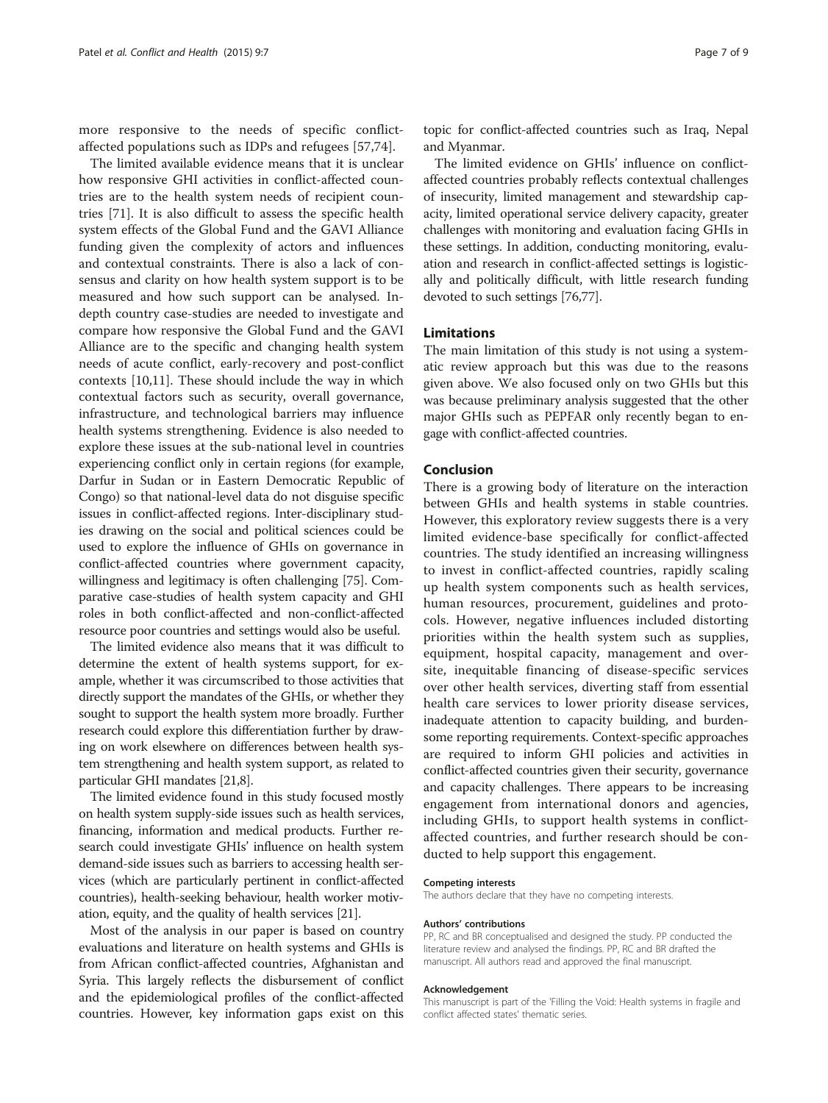more responsive to the needs of specific conflictaffected populations such as IDPs and refugees [[57,74](#page-8-0)].

The limited available evidence means that it is unclear how responsive GHI activities in conflict-affected countries are to the health system needs of recipient countries [\[71\]](#page-8-0). It is also difficult to assess the specific health system effects of the Global Fund and the GAVI Alliance funding given the complexity of actors and influences and contextual constraints. There is also a lack of consensus and clarity on how health system support is to be measured and how such support can be analysed. Indepth country case-studies are needed to investigate and compare how responsive the Global Fund and the GAVI Alliance are to the specific and changing health system needs of acute conflict, early-recovery and post-conflict contexts [[10](#page-7-0),[11](#page-7-0)]. These should include the way in which contextual factors such as security, overall governance, infrastructure, and technological barriers may influence health systems strengthening. Evidence is also needed to explore these issues at the sub-national level in countries experiencing conflict only in certain regions (for example, Darfur in Sudan or in Eastern Democratic Republic of Congo) so that national-level data do not disguise specific issues in conflict-affected regions. Inter-disciplinary studies drawing on the social and political sciences could be used to explore the influence of GHIs on governance in conflict-affected countries where government capacity, willingness and legitimacy is often challenging [\[75](#page-8-0)]. Comparative case-studies of health system capacity and GHI roles in both conflict-affected and non-conflict-affected resource poor countries and settings would also be useful.

The limited evidence also means that it was difficult to determine the extent of health systems support, for example, whether it was circumscribed to those activities that directly support the mandates of the GHIs, or whether they sought to support the health system more broadly. Further research could explore this differentiation further by drawing on work elsewhere on differences between health system strengthening and health system support, as related to particular GHI mandates [\[21,8](#page-7-0)].

The limited evidence found in this study focused mostly on health system supply-side issues such as health services, financing, information and medical products. Further research could investigate GHIs' influence on health system demand-side issues such as barriers to accessing health services (which are particularly pertinent in conflict-affected countries), health-seeking behaviour, health worker motivation, equity, and the quality of health services [\[21\]](#page-7-0).

Most of the analysis in our paper is based on country evaluations and literature on health systems and GHIs is from African conflict-affected countries, Afghanistan and Syria. This largely reflects the disbursement of conflict and the epidemiological profiles of the conflict-affected countries. However, key information gaps exist on this topic for conflict-affected countries such as Iraq, Nepal and Myanmar.

The limited evidence on GHIs' influence on conflictaffected countries probably reflects contextual challenges of insecurity, limited management and stewardship capacity, limited operational service delivery capacity, greater challenges with monitoring and evaluation facing GHIs in these settings. In addition, conducting monitoring, evaluation and research in conflict-affected settings is logistically and politically difficult, with little research funding devoted to such settings [[76,77](#page-8-0)].

#### Limitations

The main limitation of this study is not using a systematic review approach but this was due to the reasons given above. We also focused only on two GHIs but this was because preliminary analysis suggested that the other major GHIs such as PEPFAR only recently began to engage with conflict-affected countries.

#### Conclusion

There is a growing body of literature on the interaction between GHIs and health systems in stable countries. However, this exploratory review suggests there is a very limited evidence-base specifically for conflict-affected countries. The study identified an increasing willingness to invest in conflict-affected countries, rapidly scaling up health system components such as health services, human resources, procurement, guidelines and protocols. However, negative influences included distorting priorities within the health system such as supplies, equipment, hospital capacity, management and oversite, inequitable financing of disease-specific services over other health services, diverting staff from essential health care services to lower priority disease services, inadequate attention to capacity building, and burdensome reporting requirements. Context-specific approaches are required to inform GHI policies and activities in conflict-affected countries given their security, governance and capacity challenges. There appears to be increasing engagement from international donors and agencies, including GHIs, to support health systems in conflictaffected countries, and further research should be conducted to help support this engagement.

#### Competing interests

The authors declare that they have no competing interests.

#### Authors' contributions

PP, RC and BR conceptualised and designed the study. PP conducted the literature review and analysed the findings. PP, RC and BR drafted the manuscript. All authors read and approved the final manuscript.

#### Acknowledgement

This manuscript is part of the 'Filling the Void: Health systems in fragile and conflict affected states' thematic series.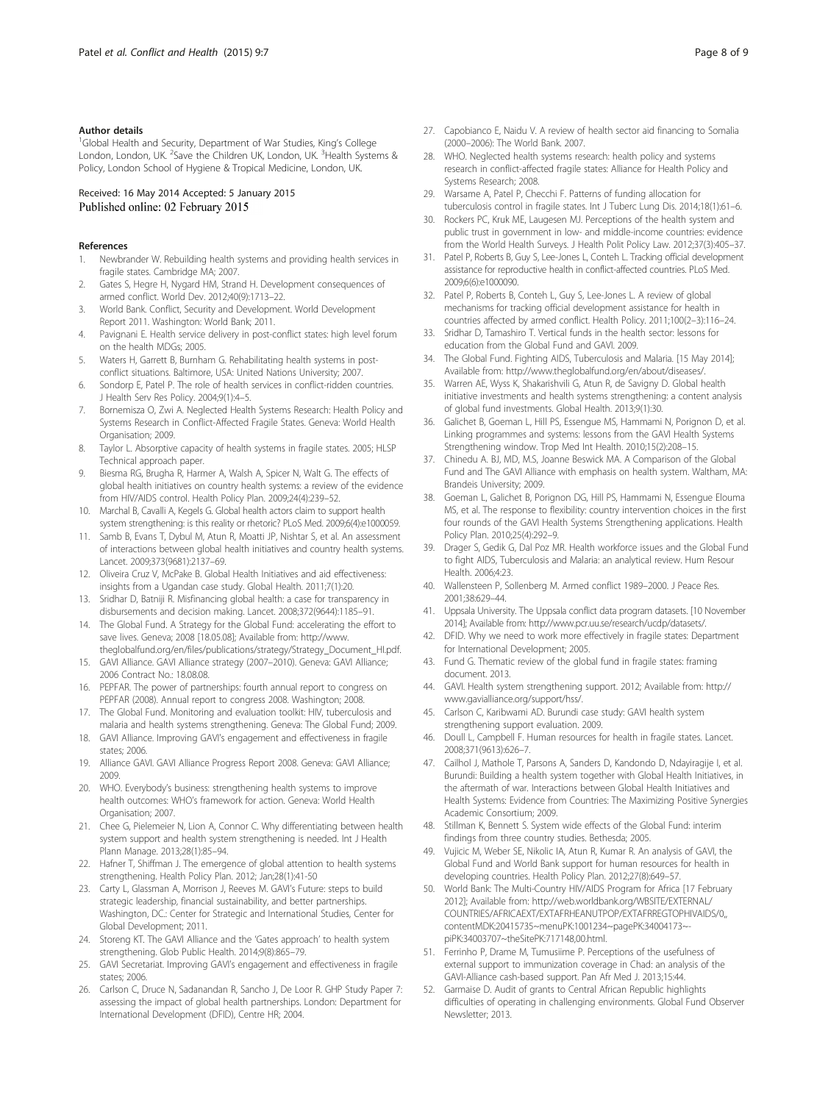#### <span id="page-7-0"></span>Author details

<sup>1</sup>Global Health and Security, Department of War Studies, King's College London, London, UK. <sup>2</sup>Save the Children UK, London, UK. <sup>3</sup>Health Systems & Policy, London School of Hygiene & Tropical Medicine, London, UK.

#### Received: 16 May 2014 Accepted: 5 January 2015 Published online: 02 February 2015

#### References

- 1. Newbrander W. Rebuilding health systems and providing health services in fragile states. Cambridge MA; 2007.
- 2. Gates S, Hegre H, Nygard HM, Strand H. Development consequences of armed conflict. World Dev. 2012;40(9):1713–22.
- 3. World Bank. Conflict, Security and Development. World Development Report 2011. Washington: World Bank; 2011.
- 4. Pavignani E. Health service delivery in post-conflict states: high level forum on the health MDGs; 2005.
- Waters H, Garrett B, Burnham G. Rehabilitating health systems in postconflict situations. Baltimore, USA: United Nations University; 2007.
- 6. Sondorp E, Patel P. The role of health services in conflict-ridden countries. J Health Serv Res Policy. 2004;9(1):4–5.
- 7. Bornemisza O, Zwi A. Neglected Health Systems Research: Health Policy and Systems Research in Conflict-Affected Fragile States. Geneva: World Health Organisation; 2009.
- Taylor L. Absorptive capacity of health systems in fragile states. 2005; HLSP Technical approach paper.
- 9. Biesma RG, Brugha R, Harmer A, Walsh A, Spicer N, Walt G. The effects of global health initiatives on country health systems: a review of the evidence from HIV/AIDS control. Health Policy Plan. 2009;24(4):239–52.
- 10. Marchal B, Cavalli A, Kegels G. Global health actors claim to support health system strengthening: is this reality or rhetoric? PLoS Med. 2009;6(4):e1000059.
- 11. Samb B, Evans T, Dybul M, Atun R, Moatti JP, Nishtar S, et al. An assessment of interactions between global health initiatives and country health systems. Lancet. 2009;373(9681):2137–69.
- 12. Oliveira Cruz V, McPake B. Global Health Initiatives and aid effectiveness: insights from a Ugandan case study. Global Health. 2011;7(1):20.
- 13. Sridhar D, Batniji R. Misfinancing global health: a case for transparency in disbursements and decision making. Lancet. 2008;372(9644):1185–91.
- 14. The Global Fund. A Strategy for the Global Fund: accelerating the effort to save lives. Geneva; 2008 [18.05.08]; Available from: [http://www.](http://www.theglobalfund.org/en/files/publications/strategy/Strategy_Document_HI.pdf)
- [theglobalfund.org/en/files/publications/strategy/Strategy\\_Document\\_HI.pdf](http://www.theglobalfund.org/en/files/publications/strategy/Strategy_Document_HI.pdf). 15. GAVI Alliance. GAVI Alliance strategy (2007–2010). Geneva: GAVI Alliance; 2006 Contract No.: 18.08.08.
- 16. PEPFAR. The power of partnerships: fourth annual report to congress on PEPFAR (2008). Annual report to congress 2008. Washington; 2008.
- 17. The Global Fund. Monitoring and evaluation toolkit: HIV, tuberculosis and malaria and health systems strengthening. Geneva: The Global Fund; 2009.
- 18. GAVI Alliance. Improving GAVI's engagement and effectiveness in fragile states; 2006.
- 19. Alliance GAVI. GAVI Alliance Progress Report 2008. Geneva: GAVI Alliance; 2009.
- 20. WHO. Everybody's business: strengthening health systems to improve health outcomes: WHO's framework for action. Geneva: World Health Organisation; 2007.
- 21. Chee G, Pielemeier N, Lion A, Connor C. Why differentiating between health system support and health system strengthening is needed. Int J Health Plann Manage. 2013;28(1):85–94.
- 22. Hafner T, Shiffman J. The emergence of global attention to health systems strengthening. Health Policy Plan. 2012; Jan;28(1):41-50
- 23. Carty L, Glassman A, Morrison J, Reeves M. GAVI's Future: steps to build strategic leadership, financial sustainability, and better partnerships. Washington, DC.: Center for Strategic and International Studies, Center for Global Development; 2011.
- 24. Storeng KT. The GAVI Alliance and the 'Gates approach' to health system strengthening. Glob Public Health. 2014;9(8):865–79.
- 25. GAVI Secretariat. Improving GAVI's engagement and effectiveness in fragile states; 2006.
- 26. Carlson C, Druce N, Sadanandan R, Sancho J, De Loor R. GHP Study Paper 7: assessing the impact of global health partnerships. London: Department for International Development (DFID), Centre HR; 2004.
- 27. Capobianco E, Naidu V. A review of health sector aid financing to Somalia (2000–2006): The World Bank. 2007.
- 28. WHO. Neglected health systems research: health policy and systems research in conflict-affected fragile states: Alliance for Health Policy and Systems Research; 2008.
- 29. Warsame A, Patel P, Checchi F. Patterns of funding allocation for tuberculosis control in fragile states. Int J Tuberc Lung Dis. 2014;18(1):61–6.
- 30. Rockers PC, Kruk ME, Laugesen MJ. Perceptions of the health system and public trust in government in low- and middle-income countries: evidence from the World Health Surveys. J Health Polit Policy Law. 2012;37(3):405–37.
- 31. Patel P, Roberts B, Guy S, Lee-Jones L, Conteh L. Tracking official development assistance for reproductive health in conflict-affected countries. PLoS Med. 2009;6(6):e1000090.
- 32. Patel P, Roberts B, Conteh L, Guy S, Lee-Jones L. A review of global mechanisms for tracking official development assistance for health in countries affected by armed conflict. Health Policy. 2011;100(2–3):116–24.
- 33. Sridhar D, Tamashiro T. Vertical funds in the health sector: lessons for education from the Global Fund and GAVI. 2009.
- The Global Fund. Fighting AIDS, Tuberculosis and Malaria. [15 May 2014]; Available from: [http://www.theglobalfund.org/en/about/diseases/.](http://www.theglobalfund.org/en/about/diseases/)
- 35. Warren AE, Wyss K, Shakarishvili G, Atun R, de Savigny D. Global health initiative investments and health systems strengthening: a content analysis of global fund investments. Global Health. 2013;9(1):30.
- 36. Galichet B, Goeman L, Hill PS, Essengue MS, Hammami N, Porignon D, et al. Linking programmes and systems: lessons from the GAVI Health Systems Strengthening window. Trop Med Int Health. 2010;15(2):208–15.
- 37. Chinedu A. BJ, MD, M.S, Joanne Beswick MA. A Comparison of the Global Fund and The GAVI Alliance with emphasis on health system. Waltham, MA: Brandeis University; 2009.
- 38. Goeman L, Galichet B, Porignon DG, Hill PS, Hammami N, Essengue Elouma MS, et al. The response to flexibility: country intervention choices in the first four rounds of the GAVI Health Systems Strengthening applications. Health Policy Plan. 2010;25(4):292–9.
- 39. Drager S, Gedik G, Dal Poz MR. Health workforce issues and the Global Fund to fight AIDS, Tuberculosis and Malaria: an analytical review. Hum Resour Health. 2006;4:23.
- 40. Wallensteen P, Sollenberg M. Armed conflict 1989–2000. J Peace Res. 2001;38:629–44.
- 41. Uppsala University. The Uppsala conflict data program datasets. [10 November 2014]; Available from:<http://www.pcr.uu.se/research/ucdp/datasets/>.
- 42. DFID. Why we need to work more effectively in fragile states: Department for International Development; 2005.
- 43. Fund G. Thematic review of the global fund in fragile states: framing document. 2013.
- 44. GAVI. Health system strengthening support. 2012; Available from: [http://](http://www.gavialliance.org/support/hss/) [www.gavialliance.org/support/hss/](http://www.gavialliance.org/support/hss/).
- Carlson C, Karibwami AD. Burundi case study: GAVI health system strengthening support evaluation. 2009.
- 46. Doull L, Campbell F. Human resources for health in fragile states. Lancet. 2008;371(9613):626–7.
- 47. Cailhol J, Mathole T, Parsons A, Sanders D, Kandondo D, Ndayiragije I, et al. Burundi: Building a health system together with Global Health Initiatives, in the aftermath of war. Interactions between Global Health Initiatives and Health Systems: Evidence from Countries: The Maximizing Positive Synergies Academic Consortium; 2009.
- 48. Stillman K, Bennett S. System wide effects of the Global Fund: interim findings from three country studies. Bethesda; 2005.
- 49. Vujicic M, Weber SE, Nikolic IA, Atun R, Kumar R. An analysis of GAVI, the Global Fund and World Bank support for human resources for health in developing countries. Health Policy Plan. 2012;27(8):649–57.
- 50. World Bank: The Multi-Country HIV/AIDS Program for Africa [17 February 2012]; Available from: [http://web.worldbank.org/WBSITE/EXTERNAL/](http://web.worldbank.org/WBSITE/EXTERNAL/COUNTRIES/AFRICAEXT/EXTAFRHEANUTPOP/EXTAFRREGTOPHIVAIDS/0,,contentMDK:20415735~menuPK:1001234~pagePK:34004173~piPK:34003707~theSitePK:717148,00.html) [COUNTRIES/AFRICAEXT/EXTAFRHEANUTPOP/EXTAFRREGTOPHIVAIDS/0,,](http://web.worldbank.org/WBSITE/EXTERNAL/COUNTRIES/AFRICAEXT/EXTAFRHEANUTPOP/EXTAFRREGTOPHIVAIDS/0,,contentMDK:20415735~menuPK:1001234~pagePK:34004173~piPK:34003707~theSitePK:717148,00.html) [contentMDK:20415735~menuPK:1001234~pagePK:34004173~](http://web.worldbank.org/WBSITE/EXTERNAL/COUNTRIES/AFRICAEXT/EXTAFRHEANUTPOP/EXTAFRREGTOPHIVAIDS/0,,contentMDK:20415735~menuPK:1001234~pagePK:34004173~piPK:34003707~theSitePK:717148,00.html) [piPK:34003707~theSitePK:717148,00.html.](http://web.worldbank.org/WBSITE/EXTERNAL/COUNTRIES/AFRICAEXT/EXTAFRHEANUTPOP/EXTAFRREGTOPHIVAIDS/0,,contentMDK:20415735~menuPK:1001234~pagePK:34004173~piPK:34003707~theSitePK:717148,00.html)
- 51. Ferrinho P, Drame M, Tumusiime P. Perceptions of the usefulness of external support to immunization coverage in Chad: an analysis of the GAVI-Alliance cash-based support. Pan Afr Med J. 2013;15:44.
- 52. Garmaise D. Audit of grants to Central African Republic highlights difficulties of operating in challenging environments. Global Fund Observer Newsletter; 2013.